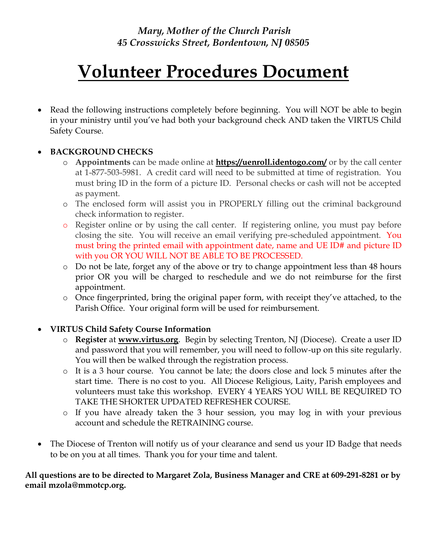# **Volunteer Procedures Document**

 Read the following instructions completely before beginning. You will NOT be able to begin in your ministry until you've had both your background check AND taken the VIRTUS Child Safety Course.

## **BACKGROUND CHECKS**

- o **Appointments** can be made online at **https://uenroll.identogo.com/** or by the call center at 1-877-503-5981. A credit card will need to be submitted at time of registration. You must bring ID in the form of a picture ID. Personal checks or cash will not be accepted as payment.
- o The enclosed form will assist you in PROPERLY filling out the criminal background check information to register.
- o Register online or by using the call center. If registering online, you must pay before closing the site. You will receive an email verifying pre-scheduled appointment. You must bring the printed email with appointment date, name and UE ID# and picture ID with you OR YOU WILL NOT BE ABLE TO BE PROCESSED.
- o Do not be late, forget any of the above or try to change appointment less than 48 hours prior OR you will be charged to reschedule and we do not reimburse for the first appointment.
- o Once fingerprinted, bring the original paper form, with receipt they've attached, to the Parish Office. Your original form will be used for reimbursement.

## **VIRTUS Child Safety Course Information**

- o **Register** at **www.virtus.org**. Begin by selecting Trenton, NJ (Diocese). Create a user ID and password that you will remember, you will need to follow-up on this site regularly. You will then be walked through the registration process.
- o It is a 3 hour course. You cannot be late; the doors close and lock 5 minutes after the start time. There is no cost to you. All Diocese Religious, Laity, Parish employees and volunteers must take this workshop. EVERY 4 YEARS YOU WILL BE REQUIRED TO TAKE THE SHORTER UPDATED REFRESHER COURSE.
- o If you have already taken the 3 hour session, you may log in with your previous account and schedule the RETRAINING course.
- The Diocese of Trenton will notify us of your clearance and send us your ID Badge that needs to be on you at all times. Thank you for your time and talent.

## **All questions are to be directed to Margaret Zola, Business Manager and CRE at 609-291-8281 or by email mzola@mmotcp.org.**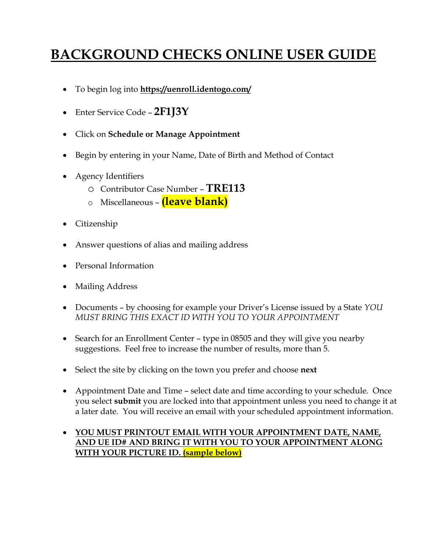## **BACKGROUND CHECKS ONLINE USER GUIDE**

- To begin log into **https://uenroll.identogo.com/**
- Enter Service Code **2F1J3Y**
- Click on **Schedule or Manage Appointment**
- Begin by entering in your Name, Date of Birth and Method of Contact
- Agency Identifiers
	- o Contributor Case Number **TRE113**
	- o Miscellaneous **(leave blank)**
- Citizenship
- Answer questions of alias and mailing address
- Personal Information
- Mailing Address
- Documents by choosing for example your Driver's License issued by a State *YOU MUST BRING THIS EXACT ID WITH YOU TO YOUR APPOINTMENT*
- Search for an Enrollment Center type in 08505 and they will give you nearby suggestions. Feel free to increase the number of results, more than 5.
- Select the site by clicking on the town you prefer and choose **next**
- Appointment Date and Time select date and time according to your schedule. Once you select **submit** you are locked into that appointment unless you need to change it at a later date. You will receive an email with your scheduled appointment information.
- **YOU MUST PRINTOUT EMAIL WITH YOUR APPOINTMENT DATE, NAME, AND UE ID# AND BRING IT WITH YOU TO YOUR APPOINTMENT ALONG WITH YOUR PICTURE ID. (sample below)**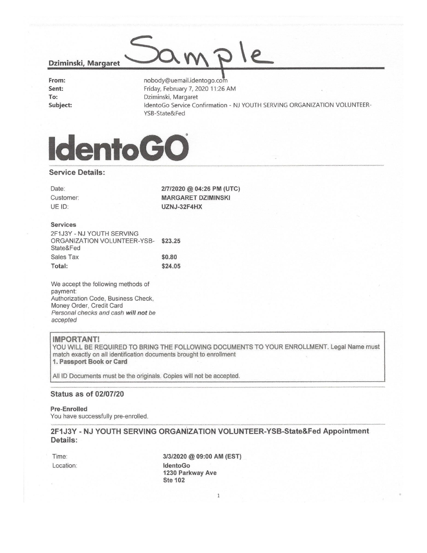#### Dziminski, Margaret

| From:    |
|----------|
| Sent:    |
| To:      |
| Subject: |

nobody@uemail.identogo.com Friday, February 7, 2020 11:26 AM Dziminski, Margaret IdentoGo Service Confirmation - NJ YOUTH SERVING ORGANIZATION VOLUNTEER-YSB-State&Fed

 $e$ 



#### **Service Details:**

Date: Customer: UE ID:

2/7/2020 @ 04:26 PM (UTC) **MARGARET DZIMINSKI** UZNJ-32F4HX

#### **Services**

| 2F1J3Y - NJ YOUTH SERVING           |         |
|-------------------------------------|---------|
| ORGANIZATION VOLUNTEER-YSB- \$23.25 |         |
| State&Fed                           |         |
| Sales Tax                           | \$0.80  |
| Total:                              | \$24.05 |

We accept the following methods of payment: Authorization Code, Business Check, Money Order, Credit Card Personal checks and cash will not be accepted

#### **IMPORTANT!**

YOU WILL BE REQUIRED TO BRING THE FOLLOWING DOCUMENTS TO YOUR ENROLLMENT. Legal Name must match exactly on all identification documents brought to enrollment 1. Passport Book or Card

All ID Documents must be the originals. Copies will not be accepted.

#### **Status as of 02/07/20**

**Pre-Enrolled** 

You have successfully pre-enrolled.

2F1J3Y - NJ YOUTH SERVING ORGANIZATION VOLUNTEER-YSB-State&Fed Appointment Details:

Time: Location:

3/3/2020 @ 09:00 AM (EST) IdentoGo 1230 Parkway Ave **Ste 102**